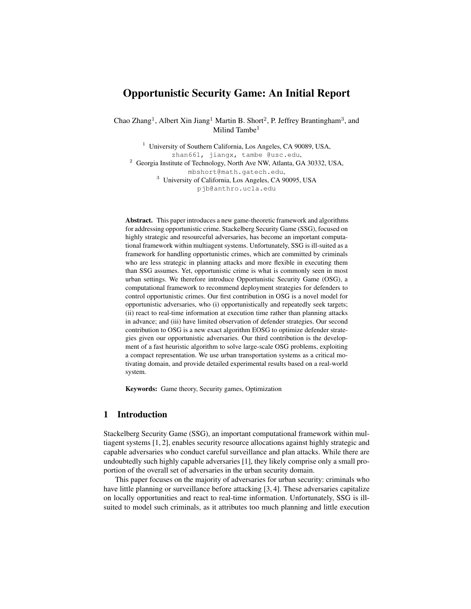# Opportunistic Security Game: An Initial Report

Chao Zhang<sup>1</sup>, Albert Xin Jiang<sup>1</sup> Martin B. Short<sup>2</sup>, P. Jeffrey Brantingham<sup>3</sup>, and Milind Tambe $<sup>1</sup>$ </sup>

<sup>1</sup> University of Southern California, Los Angeles, CA 90089, USA, zhan661, jiangx, tambe @usc.edu, <sup>2</sup> Georgia Institute of Technology, North Ave NW, Atlanta, GA 30332, USA, mbshort@math.gatech.edu, <sup>3</sup> University of California, Los Angeles, CA 90095, USA pjb@anthro.ucla.edu

Abstract. This paper introduces a new game-theoretic framework and algorithms for addressing opportunistic crime. Stackelberg Security Game (SSG), focused on highly strategic and resourceful adversaries, has become an important computational framework within multiagent systems. Unfortunately, SSG is ill-suited as a framework for handling opportunistic crimes, which are committed by criminals who are less strategic in planning attacks and more flexible in executing them than SSG assumes. Yet, opportunistic crime is what is commonly seen in most urban settings. We therefore introduce Opportunistic Security Game (OSG), a computational framework to recommend deployment strategies for defenders to control opportunistic crimes. Our first contribution in OSG is a novel model for opportunistic adversaries, who (i) opportunistically and repeatedly seek targets; (ii) react to real-time information at execution time rather than planning attacks in advance; and (iii) have limited observation of defender strategies. Our second contribution to OSG is a new exact algorithm EOSG to optimize defender strategies given our opportunistic adversaries. Our third contribution is the development of a fast heuristic algorithm to solve large-scale OSG problems, exploiting a compact representation. We use urban transportation systems as a critical motivating domain, and provide detailed experimental results based on a real-world system.

Keywords: Game theory, Security games, Optimization

## 1 Introduction

Stackelberg Security Game (SSG), an important computational framework within multiagent systems [1, 2], enables security resource allocations against highly strategic and capable adversaries who conduct careful surveillance and plan attacks. While there are undoubtedly such highly capable adversaries [1], they likely comprise only a small proportion of the overall set of adversaries in the urban security domain.

This paper focuses on the majority of adversaries for urban security: criminals who have little planning or surveillance before attacking [3, 4]. These adversaries capitalize on locally opportunities and react to real-time information. Unfortunately, SSG is illsuited to model such criminals, as it attributes too much planning and little execution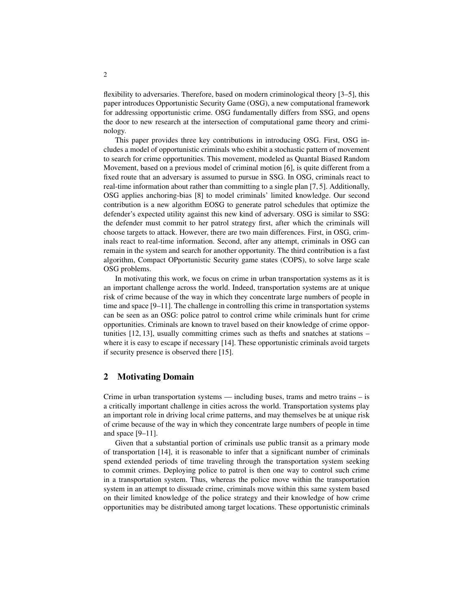flexibility to adversaries. Therefore, based on modern criminological theory [3–5], this paper introduces Opportunistic Security Game (OSG), a new computational framework for addressing opportunistic crime. OSG fundamentally differs from SSG, and opens the door to new research at the intersection of computational game theory and criminology.

This paper provides three key contributions in introducing OSG. First, OSG includes a model of opportunistic criminals who exhibit a stochastic pattern of movement to search for crime opportunities. This movement, modeled as Quantal Biased Random Movement, based on a previous model of criminal motion [6], is quite different from a fixed route that an adversary is assumed to pursue in SSG. In OSG, criminals react to real-time information about rather than committing to a single plan [7, 5]. Additionally, OSG applies anchoring-bias [8] to model criminals' limited knowledge. Our second contribution is a new algorithm EOSG to generate patrol schedules that optimize the defender's expected utility against this new kind of adversary. OSG is similar to SSG: the defender must commit to her patrol strategy first, after which the criminals will choose targets to attack. However, there are two main differences. First, in OSG, criminals react to real-time information. Second, after any attempt, criminals in OSG can remain in the system and search for another opportunity. The third contribution is a fast algorithm, Compact OPportunistic Security game states (COPS), to solve large scale OSG problems.

In motivating this work, we focus on crime in urban transportation systems as it is an important challenge across the world. Indeed, transportation systems are at unique risk of crime because of the way in which they concentrate large numbers of people in time and space [9–11]. The challenge in controlling this crime in transportation systems can be seen as an OSG: police patrol to control crime while criminals hunt for crime opportunities. Criminals are known to travel based on their knowledge of crime opportunities [12, 13], usually committing crimes such as thefts and snatches at stations – where it is easy to escape if necessary [14]. These opportunistic criminals avoid targets if security presence is observed there [15].

### 2 Motivating Domain

Crime in urban transportation systems — including buses, trams and metro trains – is a critically important challenge in cities across the world. Transportation systems play an important role in driving local crime patterns, and may themselves be at unique risk of crime because of the way in which they concentrate large numbers of people in time and space [9–11].

Given that a substantial portion of criminals use public transit as a primary mode of transportation [14], it is reasonable to infer that a significant number of criminals spend extended periods of time traveling through the transportation system seeking to commit crimes. Deploying police to patrol is then one way to control such crime in a transportation system. Thus, whereas the police move within the transportation system in an attempt to dissuade crime, criminals move within this same system based on their limited knowledge of the police strategy and their knowledge of how crime opportunities may be distributed among target locations. These opportunistic criminals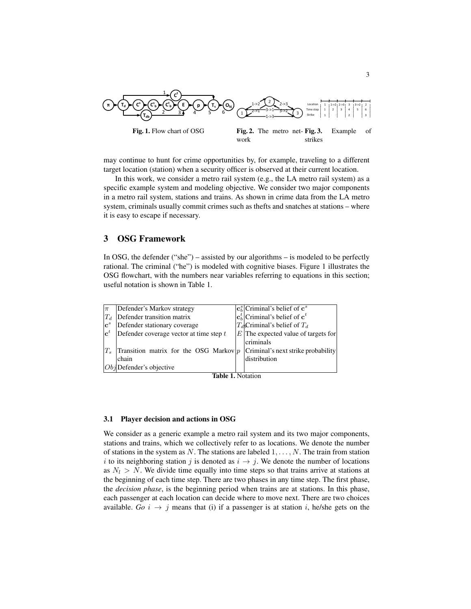

may continue to hunt for crime opportunities by, for example, traveling to a different target location (station) when a security officer is observed at their current location.

In this work, we consider a metro rail system (e.g., the LA metro rail system) as a specific example system and modeling objective. We consider two major components in a metro rail system, stations and trains. As shown in crime data from the LA metro system, criminals usually commit crimes such as thefts and snatches at stations – where it is easy to escape if necessary.

# 3 OSG Framework

In OSG, the defender ("she") – assisted by our algorithms – is modeled to be perfectly rational. The criminal ("he") is modeled with cognitive biases. Figure 1 illustrates the OSG flowchart, with the numbers near variables referring to equations in this section; useful notation is shown in Table 1.





#### 3.1 Player decision and actions in OSG

We consider as a generic example a metro rail system and its two major components, stations and trains, which we collectively refer to as locations. We denote the number of stations in the system as N. The stations are labeled  $1, \ldots, N$ . The train from station i to its neighboring station j is denoted as  $i \rightarrow j$ . We denote the number of locations as  $N_l > N$ . We divide time equally into time steps so that trains arrive at stations at the beginning of each time step. There are two phases in any time step. The first phase, the *decision phase*, is the beginning period when trains are at stations. In this phase, each passenger at each location can decide where to move next. There are two choices available. *Go*  $i \rightarrow j$  means that (i) if a passenger is at station i, he/she gets on the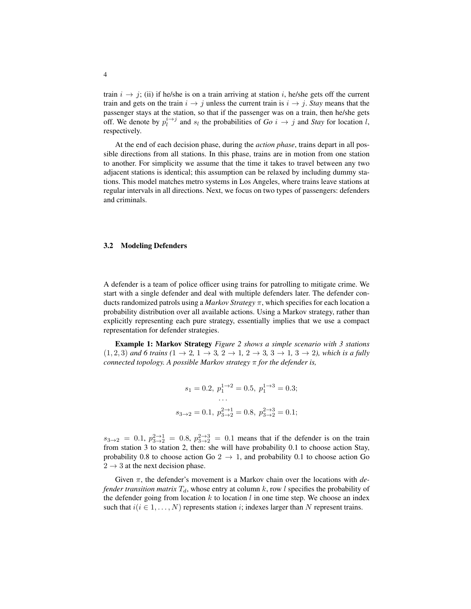train  $i \rightarrow j$ ; (ii) if he/she is on a train arriving at station i, he/she gets off the current train and gets on the train  $i \rightarrow j$  unless the current train is  $i \rightarrow j$ . *Stay* means that the passenger stays at the station, so that if the passenger was on a train, then he/she gets off. We denote by  $p_i^{i \to j}$  and  $s_i$  the probabilities of *Go*  $i \to j$  and *Stay* for location *l*, respectively.

At the end of each decision phase, during the *action phase*, trains depart in all possible directions from all stations. In this phase, trains are in motion from one station to another. For simplicity we assume that the time it takes to travel between any two adjacent stations is identical; this assumption can be relaxed by including dummy stations. This model matches metro systems in Los Angeles, where trains leave stations at regular intervals in all directions. Next, we focus on two types of passengers: defenders and criminals.

#### 3.2 Modeling Defenders

A defender is a team of police officer using trains for patrolling to mitigate crime. We start with a single defender and deal with multiple defenders later. The defender conducts randomized patrols using a *Markov Strategy* π, which specifies for each location a probability distribution over all available actions. Using a Markov strategy, rather than explicitly representing each pure strategy, essentially implies that we use a compact representation for defender strategies.

Example 1: Markov Strategy *Figure 2 shows a simple scenario with 3 stations*  $(1, 2, 3)$  *and 6 trains*  $(1 \rightarrow 2, 1 \rightarrow 3, 2 \rightarrow 1, 2 \rightarrow 3, 3 \rightarrow 1, 3 \rightarrow 2)$ , which is a fully *connected topology. A possible Markov strategy* π *for the defender is,*

$$
s_1 = 0.2
$$
,  $p_1^{1 \to 2} = 0.5$ ,  $p_1^{1 \to 3} = 0.3$ ;  
\n...  
\n $s_{3 \to 2} = 0.1$ ,  $p_{3 \to 2}^{2 \to 1} = 0.8$ ,  $p_{3 \to 2}^{2 \to 3} = 0.1$ ;

 $s_{3\to 2} = 0.1, p_{3\to 2}^{2\to 1} = 0.8, p_{3\to 2}^{2\to 3} = 0.1$  means that if the defender is on the train from station 3 to station 2, then: she will have probability 0.1 to choose action Stay, probability 0.8 to choose action Go  $2 \rightarrow 1$ , and probability 0.1 to choose action Go  $2 \rightarrow 3$  at the next decision phase.

Given π, the defender's movement is a Markov chain over the locations with *defender transition matrix*  $T_d$ , whose entry at column k, row l specifies the probability of the defender going from location  $k$  to location  $l$  in one time step. We choose an index such that  $i(i \in 1, ..., N)$  represents station i; indexes larger than N represent trains.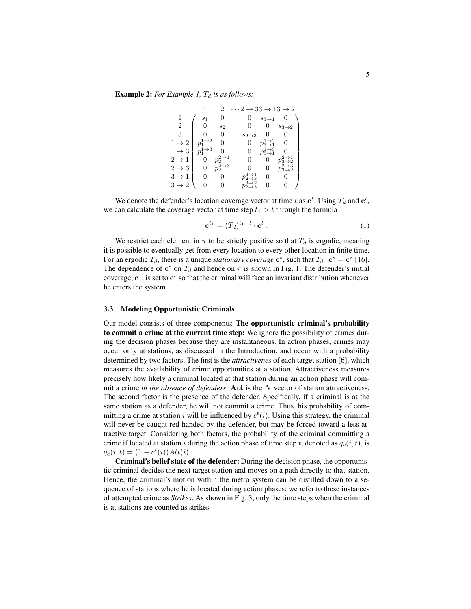**Example 2:** *For Example 1,*  $T_d$  *is as follows:* 

|                   |                              |                             | $\cdots 2 \rightarrow 33 \rightarrow 13 \rightarrow 2$ |                                  |                                         |  |
|-------------------|------------------------------|-----------------------------|--------------------------------------------------------|----------------------------------|-----------------------------------------|--|
|                   | s <sub>1</sub>               |                             | O                                                      | $s_{3\rightarrow1}$              |                                         |  |
| 2                 | $\theta$                     | $s_2$                       | 0                                                      | 0                                | $s_{3\to 2}$                            |  |
| 3                 |                              | 0                           | $s_{2\to 3}$                                           | 0                                | 0                                       |  |
| $1 \rightarrow 2$ | $p_1^{1\rightarrow 2}$       | 0                           |                                                        | $1\rightarrow 2$<br>$p_{3\to 1}$ | 0                                       |  |
| $1 \rightarrow 3$ | $1 \rightarrow 3$<br>$p_{1}$ |                             | 0                                                      | $1\rightarrow 3$<br>$p_{3\to 1}$ |                                         |  |
| $2 \rightarrow 1$ | 0                            | $2\rightarrow 1$<br>$p_{2}$ | 0                                                      | 0                                | $2\rightarrow1$<br>$p_{3\rightarrow 2}$ |  |
| $2 \rightarrow 3$ | 0                            | $p_2^{2\rightarrow 3}$      |                                                        | 0                                | $2\rightarrow 3$<br>$p_{3\to 2}$        |  |
| $3 \rightarrow 1$ | 0                            |                             | $3\rightarrow1$<br>$p_{2\to 3}$                        | 0                                |                                         |  |
| $3 \rightarrow 2$ |                              |                             | $3\rightarrow 2$<br>$p_{2\to 3}$                       | 0                                |                                         |  |

We denote the defender's location coverage vector at time t as  $\mathbf{c}^t$ . Using  $T_d$  and  $\mathbf{c}^t$ , we can calculate the coverage vector at time step  $t_1 > t$  through the formula

$$
\mathbf{c}^{t_1} = (T_d)^{t_1 - t} \cdot \mathbf{c}^t \,. \tag{1}
$$

We restrict each element in  $\pi$  to be strictly positive so that  $T_d$  is ergodic, meaning it is possible to eventually get from every location to every other location in finite time. For an ergodic  $T_d$ , there is a unique *stationary coverage*  $\mathbf{c}^s$ , such that  $T_d \cdot \mathbf{c}^s = \mathbf{c}^s$  [16]. The dependence of  $\mathbf{c}^s$  on  $T_d$  and hence on  $\pi$  is shown in Fig. 1. The defender's initial coverage,  $c^1$ , is set to  $c^s$  so that the criminal will face an invariant distribution whenever he enters the system.

#### 3.3 Modeling Opportunistic Criminals

Our model consists of three components: The opportunistic criminal's probability to commit a crime at the current time step: We ignore the possibility of crimes during the decision phases because they are instantaneous. In action phases, crimes may occur only at stations, as discussed in the Introduction, and occur with a probability determined by two factors. The first is the *attractivenes* of each target station [6], which measures the availability of crime opportunities at a station. Attractiveness measures precisely how likely a criminal located at that station during an action phase will commit a crime *in the absence of defenders*. Att is the N vector of station attractiveness. The second factor is the presence of the defender. Specifically, if a criminal is at the same station as a defender, he will not commit a crime. Thus, his probability of committing a crime at station i will be influenced by  $c^t(i)$ . Using this strategy, the criminal will never be caught red handed by the defender, but may be forced toward a less attractive target. Considering both factors, the probability of the criminal committing a crime if located at station i during the action phase of time step t, denoted as  $q_c(i, t)$ , is  $q_c(i,t) = (1 - c^t(i))Att(i).$ 

Criminal's belief state of the defender: During the decision phase, the opportunistic criminal decides the next target station and moves on a path directly to that station. Hence, the criminal's motion within the metro system can be distilled down to a sequence of stations where he is located during action phases; we refer to these instances of attempted crime as *Strikes*. As shown in Fig. 3, only the time steps when the criminal is at stations are counted as strikes.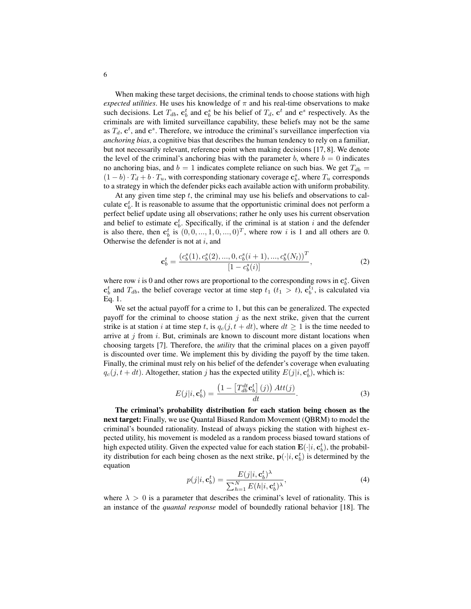When making these target decisions, the criminal tends to choose stations with high *expected utilities*. He uses his knowledge of  $\pi$  and his real-time observations to make such decisions. Let  $T_{db}$ ,  $\mathbf{c}_b^t$  and  $\mathbf{c}_b^s$  be his belief of  $T_d$ ,  $\mathbf{c}^t$  and  $\mathbf{c}^s$  respectively. As the criminals are with limited surveillance capability, these beliefs may not be the same as  $T_d$ ,  $\mathbf{c}^t$ , and  $\mathbf{c}^s$ . Therefore, we introduce the criminal's surveillance imperfection via *anchoring bias*, a cognitive bias that describes the human tendency to rely on a familiar, but not necessarily relevant, reference point when making decisions [17, 8]. We denote the level of the criminal's anchoring bias with the parameter b, where  $b = 0$  indicates no anchoring bias, and  $b = 1$  indicates complete reliance on such bias. We get  $T_{db} =$  $(1 - b) \cdot T_d + b \cdot T_u$ , with corresponding stationary coverage  $\mathbf{c}_b^s$ , where  $T_u$  corresponds to a strategy in which the defender picks each available action with uniform probability.

At any given time step  $t$ , the criminal may use his beliefs and observations to calculate  $\mathbf{c}_b^t$ . It is reasonable to assume that the opportunistic criminal does not perform a perfect belief update using all observations; rather he only uses his current observation and belief to estimate  $\mathbf{c}_b^t$ . Specifically, if the criminal is at station i and the defender is also there, then  $\mathbf{c}_b^t$  is  $(0, 0, ..., 1, 0, ..., 0)^T$ , where row i is 1 and all others are 0. Otherwise the defender is not at  $i$ , and

$$
\mathbf{c}_{b}^{t} = \frac{\left(c_{b}^{s}(1), c_{b}^{s}(2), \dots, 0, c_{b}^{s}(i+1), \dots, c_{b}^{s}(N_{l})\right)^{T}}{\left[1 - c_{b}^{s}(i)\right]},
$$
\n(2)

where row *i* is 0 and other rows are proportional to the corresponding rows in  $\mathbf{c}_b^s$ . Given  $\mathbf{c}_b^t$  and  $T_{db}$ , the belief coverage vector at time step  $t_1$   $(t_1 > t)$ ,  $\mathbf{c}_b^{t_1}$ , is calculated via Eq. 1.

We set the actual payoff for a crime to 1, but this can be generalized. The expected payoff for the criminal to choose station  $j$  as the next strike, given that the current strike is at station i at time step t, is  $q_c(j, t + dt)$ , where  $dt \ge 1$  is the time needed to arrive at  $j$  from  $i$ . But, criminals are known to discount more distant locations when choosing targets [7]. Therefore, the *utility* that the criminal places on a given payoff is discounted over time. We implement this by dividing the payoff by the time taken. Finally, the criminal must rely on his belief of the defender's coverage when evaluating  $q_c(j, t + dt)$ . Altogether, station j has the expected utility  $E(j|i, \mathbf{c}_b^t)$ , which is:

$$
E(j|i, \mathbf{c}_b^t) = \frac{\left(1 - \left[T_{db}^{dt} \mathbf{c}_b^t\right](j)\right) Att(j)}{dt}.
$$
\n(3)

The criminal's probability distribution for each station being chosen as the next target: Finally, we use Quantal Biased Random Movement (QBRM) to model the criminal's bounded rationality. Instead of always picking the station with highest expected utility, his movement is modeled as a random process biased toward stations of high expected utility. Given the expected value for each station  $\mathbf{E}(\cdot|i, \mathbf{c}_b^t)$ , the probability distribution for each being chosen as the next strike,  $\mathbf{p}(\cdot|i, \mathbf{c}_b^t)$  is determined by the equation

$$
p(j|i, \mathbf{c}_b^t) = \frac{E(j|i, \mathbf{c}_b^t)^{\lambda}}{\sum_{h=1}^N E(h|i, \mathbf{c}_b^t)^{\lambda}},
$$
(4)

where  $\lambda > 0$  is a parameter that describes the criminal's level of rationality. This is an instance of the *quantal response* model of boundedly rational behavior [18]. The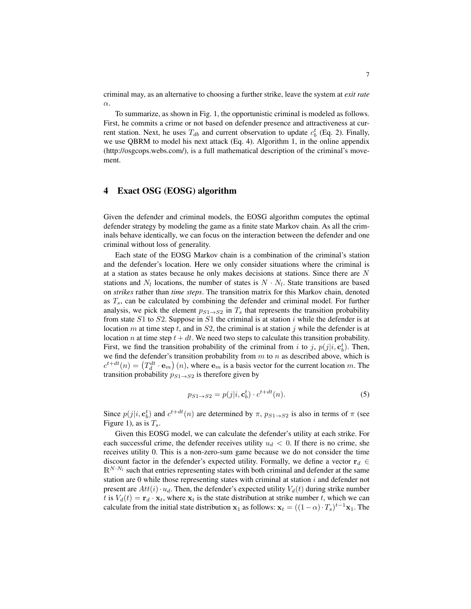criminal may, as an alternative to choosing a further strike, leave the system at *exit rate* α.

To summarize, as shown in Fig. 1, the opportunistic criminal is modeled as follows. First, he commits a crime or not based on defender presence and attractiveness at current station. Next, he uses  $T_{db}$  and current observation to update  $c_b^t$  (Eq. 2). Finally, we use QBRM to model his next attack (Eq. 4). Algorithm 1, in the online appendix (http://osgcops.webs.com/), is a full mathematical description of the criminal's movement.

### 4 Exact OSG (EOSG) algorithm

Given the defender and criminal models, the EOSG algorithm computes the optimal defender strategy by modeling the game as a finite state Markov chain. As all the criminals behave identically, we can focus on the interaction between the defender and one criminal without loss of generality.

Each state of the EOSG Markov chain is a combination of the criminal's station and the defender's location. Here we only consider situations where the criminal is at a station as states because he only makes decisions at stations. Since there are N stations and  $N_l$  locations, the number of states is  $N \cdot N_l$ . State transitions are based on *strikes* rather than *time steps*. The transition matrix for this Markov chain, denoted as  $T_s$ , can be calculated by combining the defender and criminal model. For further analysis, we pick the element  $p_{S1\rightarrow S2}$  in  $T_s$  that represents the transition probability from state  $S1$  to  $S2$ . Suppose in  $S1$  the criminal is at station i while the defender is at location m at time step t, and in  $S_2$ , the criminal is at station j while the defender is at location *n* at time step  $t + dt$ . We need two steps to calculate this transition probability. First, we find the transition probability of the criminal from i to j,  $p(j|i, \mathbf{c}_b^t)$ . Then, we find the defender's transition probability from  $m$  to  $n$  as described above, which is  $c^{t+dt}(n) = (T_d^{dt} \cdot \mathbf{e}_m)(n)$ , where  $\mathbf{e}_m$  is a basis vector for the current location m. The transition probability  $p_{S1\rightarrow S2}$  is therefore given by

$$
p_{S1 \to S2} = p(j|i, \mathbf{c}_b^t) \cdot c^{t+dt}(n). \tag{5}
$$

Since  $p(j|i, \mathbf{c}_b^t)$  and  $c^{t+dt}(n)$  are determined by  $\pi$ ,  $p_{S1\rightarrow S2}$  is also in terms of  $\pi$  (see Figure 1), as is  $T_s$ .

Given this EOSG model, we can calculate the defender's utility at each strike. For each successful crime, the defender receives utility  $u_d < 0$ . If there is no crime, she receives utility 0. This is a non-zero-sum game because we do not consider the time discount factor in the defender's expected utility. Formally, we define a vector  $\mathbf{r}_d \in$  $\mathbb{R}^{N \cdot N_l}$  such that entries representing states with both criminal and defender at the same station are 0 while those representing states with criminal at station  $i$  and defender not present are  $Att(i) \cdot u_d$ . Then, the defender's expected utility  $V_d(t)$  during strike number t is  $V_d(t) = \mathbf{r}_d \cdot \mathbf{x}_t$ , where  $\mathbf{x}_t$  is the state distribution at strike number t, which we can calculate from the initial state distribution  $x_1$  as follows:  $x_t = ((1 - \alpha) \cdot T_s)^{t-1} x_1$ . The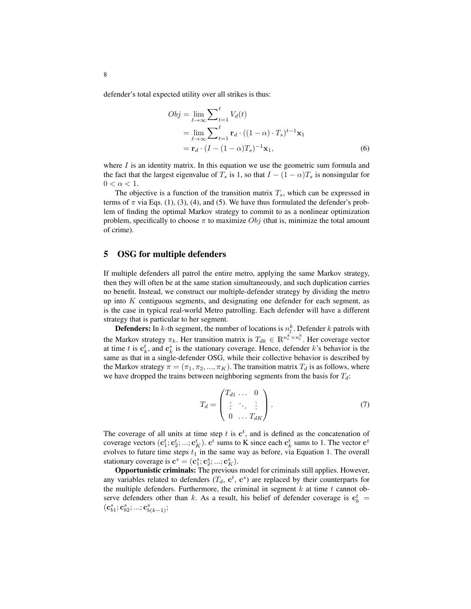defender's total expected utility over all strikes is thus:

$$
Obj = \lim_{\ell \to \infty} \sum_{t=1}^{\ell} V_d(t)
$$
  
= 
$$
\lim_{\ell \to \infty} \sum_{t=1}^{\ell} \mathbf{r}_d \cdot ((1 - \alpha) \cdot T_s)^{t-1} \mathbf{x}_1
$$
  
= 
$$
\mathbf{r}_d \cdot (I - (1 - \alpha)T_s)^{-1} \mathbf{x}_1,
$$
 (6)

where  $I$  is an identity matrix. In this equation we use the geometric sum formula and the fact that the largest eigenvalue of  $T_s$  is 1, so that  $I - (1 - \alpha)T_s$  is nonsingular for  $0 < \alpha < 1$ .

The objective is a function of the transition matrix  $T_s$ , which can be expressed in terms of  $\pi$  via Eqs. (1), (3), (4), and (5). We have thus formulated the defender's problem of finding the optimal Markov strategy to commit to as a nonlinear optimization problem, specifically to choose  $\pi$  to maximize  $Obj$  (that is, minimize the total amount of crime).

### 5 OSG for multiple defenders

If multiple defenders all patrol the entire metro, applying the same Markov strategy, then they will often be at the same station simultaneously, and such duplication carries no benefit. Instead, we construct our multiple-defender strategy by dividing the metro up into  $K$  contiguous segments, and designating one defender for each segment, as is the case in typical real-world Metro patrolling. Each defender will have a different strategy that is particular to her segment.

**Defenders:** In k-th segment, the number of locations is  $n_l^k$ . Defender k patrols with the Markov strategy  $\pi_k$ . Her transition matrix is  $T_{dk} \in \mathbb{R}^{n_l^k \times n_l^k}$ . Her coverage vector at time t is  $\mathbf{c}_k^t$ , and  $\mathbf{c}_k^s$  is the stationary coverage. Hence, defender k's behavior is the same as that in a single-defender OSG, while their collective behavior is described by the Markov strategy  $\pi = (\pi_1, \pi_2, ..., \pi_K)$ . The transition matrix  $T_d$  is as follows, where we have dropped the trains between neighboring segments from the basis for  $T_d$ :

$$
T_d = \begin{pmatrix} T_{d1} & \dots & 0 \\ \vdots & \ddots & \vdots \\ 0 & \dots & T_{dK} \end{pmatrix} . \tag{7}
$$

The coverage of all units at time step t is  $c^t$ , and is defined as the concatenation of coverage vectors  $(c_1^t; c_2^t; ...; c_K^t)$ .  $c^t$  sums to K since each  $c_k^t$  sums to 1. The vector  $c^t$ evolves to future time steps  $t_1$  in the same way as before, via Equation 1. The overall stationary coverage is  $\mathbf{c}^s = (\mathbf{c}_1^s; \mathbf{c}_2^s; ...; \mathbf{c}_K^s)$ .

Opportunistic criminals: The previous model for criminals still applies. However, any variables related to defenders  $(T_d, \mathbf{c}^t, \mathbf{c}^s)$  are replaced by their counterparts for the multiple defenders. Furthermore, the criminal in segment  $k$  at time  $t$  cannot observe defenders other than k. As a result, his belief of defender coverage is  $\mathbf{c}_b^t$  =  $(\mathbf{c}_{b1}^s; \mathbf{c}_{b2}^s; ...; \mathbf{c}_{b(k-1)}^s;$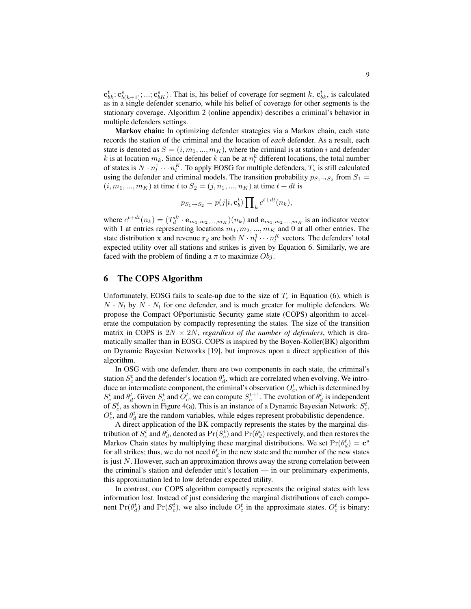$\mathbf{c}_{bk}^t; \mathbf{c}_{bk}^s; \mathbf{c}_{bk+1}^s; ...; \mathbf{c}_{bk}^s$ ). That is, his belief of coverage for segment k,  $\mathbf{c}_{bk}^t$ , is calculated as in a single defender scenario, while his belief of coverage for other segments is the stationary coverage. Algorithm 2 (online appendix) describes a criminal's behavior in multiple defenders settings.

Markov chain: In optimizing defender strategies via a Markov chain, each state records the station of the criminal and the location of *each* defender. As a result, each state is denoted as  $S = (i, m_1, ..., m_K)$ , where the criminal is at station i and defender k is at location  $m_k$ . Since defender k can be at  $n_l^k$  different locations, the total number of states is  $N \cdot n_l^1 \cdots n_l^K$ . To apply EOSG for multiple defenders,  $T_s$  is still calculated using the defender and criminal models. The transition probability  $p_{S_1 \to S_2}$  from  $S_1 =$  $(i, m_1, ..., m_K)$  at time t to  $S_2 = (j, n_1, ..., n_K)$  at time  $t + dt$  is

$$
p_{S_1 \to S_2} = p(j|i, \mathbf{c}_b^t) \prod_k c^{t+dt}(n_k),
$$

where  $c^{t+dt}(n_k) = (T_d^{dt} \cdot \mathbf{e}_{m_1,m_2,...,m_K})(n_k)$  and  $\mathbf{e}_{m_1,m_2,...,m_K}$  is an indicator vector with 1 at entries representing locations  $m_1, m_2, ..., m_K$  and 0 at all other entries. The state distribution x and revenue  $\mathbf{r}_d$  are both  $N \cdot n_l^1 \cdots n_l^K$  vectors. The defenders' total expected utility over all stations and strikes is given by Equation 6. Similarly, we are faced with the problem of finding a  $\pi$  to maximize  $Obj$ .

### 6 The COPS Algorithm

Unfortunately, EOSG fails to scale-up due to the size of  $T_s$  in Equation (6), which is  $N \cdot N_l$  by  $N \cdot N_l$  for one defender, and is much greater for multiple defenders. We propose the Compact OPportunistic Security game state (COPS) algorithm to accelerate the computation by compactly representing the states. The size of the transition matrix in COPS is  $2N \times 2N$ , *regardless of the number of defenders*, which is dramatically smaller than in EOSG. COPS is inspired by the Boyen-Koller(BK) algorithm on Dynamic Bayesian Networks [19], but improves upon a direct application of this algorithm.

In OSG with one defender, there are two components in each state, the criminal's station  $S_c^t$  and the defender's location  $\theta_d^t$ , which are correlated when evolving. We introduce an intermediate component, the criminal's observation  $O_c^t$ , which is determined by  $S_c^t$  and  $\theta_d^t$ . Given  $S_c^t$  and  $O_c^t$ , we can compute  $S_c^{t+1}$ . The evolution of  $\theta_d^t$  is independent of  $S_c^t$ , as shown in Figure 4(a). This is an instance of a Dynamic Bayesian Network:  $S_c^t$ ,  $O_c^t$ , and  $\theta_d^t$  are the random variables, while edges represent probabilistic dependence.

A direct application of the BK compactly represents the states by the marginal distribution of  $S_c^t$  and  $\theta_d^t$ , denoted as  $\Pr(S_c^t)$  and  $\Pr(\theta_d^t)$  respectively, and then restores the Markov Chain states by multiplying these marginal distributions. We set  $Pr(\theta_d^t) = \mathbf{c}^s$ for all strikes; thus, we do not need  $\theta_d^t$  in the new state and the number of the new states is just  $N$ . However, such an approximation throws away the strong correlation between the criminal's station and defender unit's location — in our preliminary experiments, this approximation led to low defender expected utility.

In contrast, our COPS algorithm compactly represents the original states with less information lost. Instead of just considering the marginal distributions of each component  $Pr(\theta_d^t)$  and  $Pr(S_c^t)$ , we also include  $O_c^t$  in the approximate states.  $O_c^t$  is binary: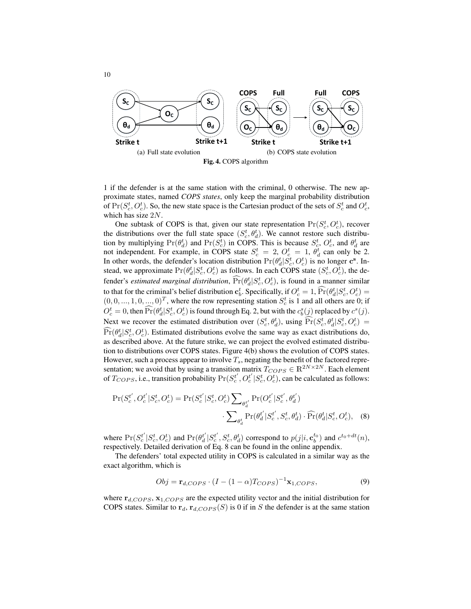

1 if the defender is at the same station with the criminal, 0 otherwise. The new approximate states, named *COPS states*, only keep the marginal probability distribution of  $Pr(S_c^t, O_c^t)$ . So, the new state space is the Cartesian product of the sets of  $S_c^t$  and  $O_c^t$ , which has size 2N.

One subtask of COPS is that, given our state representation  $Pr(S_c^t, O_c^t)$ , recover the distributions over the full state space  $(S_c^t, \theta_d^t)$ . We cannot restore such distribution by multiplying  $Pr(\theta_d^t)$  and  $Pr(S_c^t)$  in COPS. This is because  $S_c^t$ ,  $O_c^t$ , and  $\theta_d^t$  are not independent. For example, in COPS state  $S_c^t = 2$ ,  $O_c^t = 1$ ,  $\theta_d^t$  can only be 2. In other words, the defender's location distribution  $Pr(\theta_d^t | S_c^t, O_c^t)$  is no longer  $\mathbf{c}^s$ . Instead, we approximate  $Pr(\theta_d^t | S_c^t, O_c^t)$  as follows. In each COPS state  $(S_c^t, O_c^t)$ , the defender's *estimated marginal distribution*,  $\Pr(\theta_d^t | S_c^t, O_c^t)$ , is found in a manner similar to that for the criminal's belief distribution  $\mathbf{c}_b^t$ . Specifically, if  $O_c^t = 1$ ,  $\Pr(\theta_a^t | S_c^t, O_c^t) =$  $(0, 0, \ldots, 1, 0, \ldots, 0)^T$ , where the row representing station  $S_c^t$  is 1 and all others are 0; if  $O_c^t = 0$ , then  $\Pr(\theta_d^t | S_c^t, O_c^t)$  is found through Eq. 2, but with the  $c_b^s(j)$  replaced by  $c^s(j)$ . Next we recover the estimated distribution over  $(S_c^t, \theta_d^t)$ , using  $\widehat{\Pr}(S_c^t, \theta_d^t | S_c^t, O_c^t) = \widehat{\Re}(\widehat{S_c^t}, \widehat{S_c^t}, \widehat{S_c^t}, O_c^t)$  $\Pr(\theta_d^t | S_c^t, O_c^t)$ . Estimated distributions evolve the same way as exact distributions do, as described above. At the future strike, we can project the evolved estimated distribution to distributions over COPS states. Figure 4(b) shows the evolution of COPS states. However, such a process appear to involve  $T_s$ , negating the benefit of the factored representation; we avoid that by using a transition matrix  $T_{COPS} \in \mathbb{R}^{2N \times 2N}$ . Each element of  $T_{COPS}$ , i.e., transition probability  $Pr(S_c^{t'}, O_c^{t'} | S_c^t, O_c^t)$ , can be calculated as follows:

$$
\Pr(S_c^{t'}, O_c^{t'} | S_c^{t}, O_c^{t}) = \Pr(S_c^{t'} | S_c^{t}, O_c^{t}) \sum_{\theta_d^{t'}} \Pr(O_c^{t'} | S_c^{t'}, \theta_d^{t'})
$$

$$
\cdot \sum_{\theta_d^{t}} \Pr(\theta_d^{t'} | S_c^{t'}, S_c^{t}, \theta_d^{t}) \cdot \widehat{\Pr}(\theta_d^{t} | S_c^{t}, O_c^{t}), \quad (8)
$$

where  $Pr(S_c^{t'} | S_c^t, O_c^t)$  and  $Pr(\theta_d^{t'} | S_c^{t'}, S_c^t, \theta_d^t)$  correspond to  $p(j|i, \mathbf{c}_b^{t_0})$  and  $c^{t_0 + dt}(n)$ , respectively. Detailed derivation of Eq. 8 can be found in the online appendix.

The defenders' total expected utility in COPS is calculated in a similar way as the exact algorithm, which is

$$
Obj = \mathbf{r}_{d,COPS} \cdot (I - (1 - \alpha)T_{COPS})^{-1} \mathbf{x}_{1,COPS},\tag{9}
$$

where  $r_{d,COPS}$ ,  $x_{1,COPS}$  are the expected utility vector and the initial distribution for COPS states. Similar to  $r_d$ ,  $r_{d,COPS}(S)$  is 0 if in S the defender is at the same station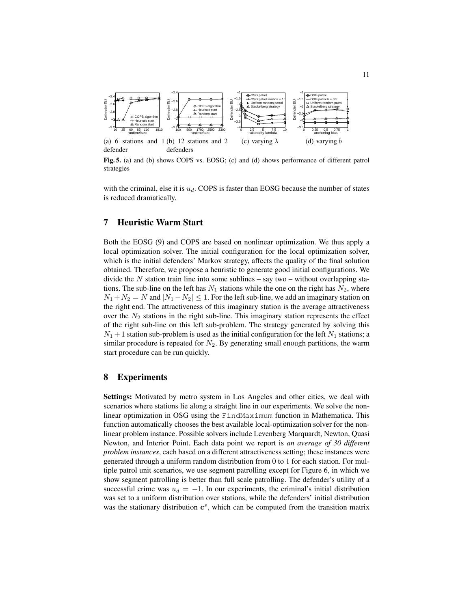

Fig. 5. (a) and (b) shows COPS vs. EOSG; (c) and (d) shows performance of different patrol strategies

with the criminal, else it is  $u_d$ . COPS is faster than EOSG because the number of states is reduced dramatically.

### 7 Heuristic Warm Start

defender

Both the EOSG (9) and COPS are based on nonlinear optimization. We thus apply a local optimization solver. The initial configuration for the local optimization solver, which is the initial defenders' Markov strategy, affects the quality of the final solution obtained. Therefore, we propose a heuristic to generate good initial configurations. We divide the  $N$  station train line into some sublines – say two – without overlapping stations. The sub-line on the left has  $N_1$  stations while the one on the right has  $N_2$ , where  $N_1 + N_2 = N$  and  $|N_1 - N_2| \leq 1$ . For the left sub-line, we add an imaginary station on the right end. The attractiveness of this imaginary station is the average attractiveness over the  $N_2$  stations in the right sub-line. This imaginary station represents the effect of the right sub-line on this left sub-problem. The strategy generated by solving this  $N_1 + 1$  station sub-problem is used as the initial configuration for the left  $N_1$  stations; a similar procedure is repeated for  $N_2$ . By generating small enough partitions, the warm start procedure can be run quickly.

### 8 Experiments

Settings: Motivated by metro system in Los Angeles and other cities, we deal with scenarios where stations lie along a straight line in our experiments. We solve the nonlinear optimization in OSG using the FindMaximum function in Mathematica. This function automatically chooses the best available local-optimization solver for the nonlinear problem instance. Possible solvers include Levenberg Marquardt, Newton, Quasi Newton, and Interior Point. Each data point we report is *an average of 30 different problem instances*, each based on a different attractiveness setting; these instances were generated through a uniform random distribution from 0 to 1 for each station. For multiple patrol unit scenarios, we use segment patrolling except for Figure 6, in which we show segment patrolling is better than full scale patrolling. The defender's utility of a successful crime was  $u_d = -1$ . In our experiments, the criminal's initial distribution was set to a uniform distribution over stations, while the defenders' initial distribution was the stationary distribution  $\mathbf{c}^s$ , which can be computed from the transition matrix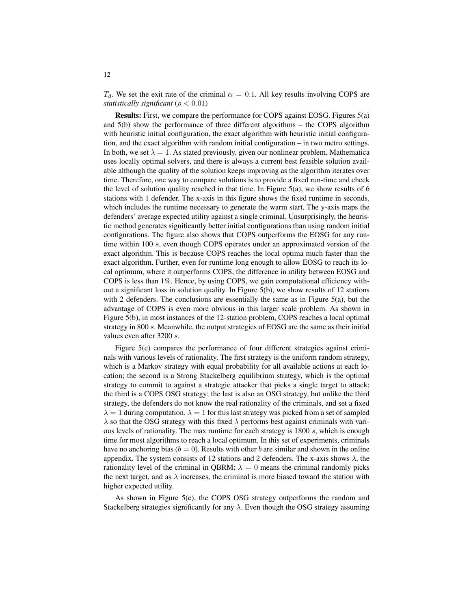$T_d$ . We set the exit rate of the criminal  $\alpha = 0.1$ . All key results involving COPS are *statistically significant* ( $\rho < 0.01$ )

Results: First, we compare the performance for COPS against EOSG. Figures 5(a) and 5(b) show the performance of three different algorithms – the COPS algorithm with heuristic initial configuration, the exact algorithm with heuristic initial configuration, and the exact algorithm with random initial configuration – in two metro settings. In both, we set  $\lambda = 1$ . As stated previously, given our nonlinear problem, Mathematica uses locally optimal solvers, and there is always a current best feasible solution available although the quality of the solution keeps improving as the algorithm iterates over time. Therefore, one way to compare solutions is to provide a fixed run-time and check the level of solution quality reached in that time. In Figure  $5(a)$ , we show results of 6 stations with 1 defender. The x-axis in this figure shows the fixed runtime in seconds, which includes the runtime necessary to generate the warm start. The y-axis maps the defenders' average expected utility against a single criminal. Unsurprisingly, the heuristic method generates significantly better initial configurations than using random initial configurations. The figure also shows that COPS outperforms the EOSG for any runtime within 100 s, even though COPS operates under an approximated version of the exact algorithm. This is because COPS reaches the local optima much faster than the exact algorithm. Further, even for runtime long enough to allow EOSG to reach its local optimum, where it outperforms COPS, the difference in utility between EOSG and COPS is less than 1%. Hence, by using COPS, we gain computational efficiency without a significant loss in solution quality. In Figure 5(b), we show results of 12 stations with 2 defenders. The conclusions are essentially the same as in Figure 5(a), but the advantage of COPS is even more obvious in this larger scale problem. As shown in Figure 5(b), in most instances of the 12-station problem, COPS reaches a local optimal strategy in 800 s. Meanwhile, the output strategies of EOSG are the same as their initial values even after 3200 s.

Figure 5(c) compares the performance of four different strategies against criminals with various levels of rationality. The first strategy is the uniform random strategy, which is a Markov strategy with equal probability for all available actions at each location; the second is a Strong Stackelberg equilibrium strategy, which is the optimal strategy to commit to against a strategic attacker that picks a single target to attack; the third is a COPS OSG strategy; the last is also an OSG strategy, but unlike the third strategy, the defenders do not know the real rationality of the criminals, and set a fixed  $\lambda = 1$  during computation.  $\lambda = 1$  for this last strategy was picked from a set of sampled  $\lambda$  so that the OSG strategy with this fixed  $\lambda$  performs best against criminals with various levels of rationality. The max runtime for each strategy is 1800 s, which is enough time for most algorithms to reach a local optimum. In this set of experiments, criminals have no anchoring bias ( $b = 0$ ). Results with other b are similar and shown in the online appendix. The system consists of 12 stations and 2 defenders. The x-axis shows  $\lambda$ , the rationality level of the criminal in QBRM;  $\lambda = 0$  means the criminal randomly picks the next target, and as  $\lambda$  increases, the criminal is more biased toward the station with higher expected utility.

As shown in Figure 5(c), the COPS OSG strategy outperforms the random and Stackelberg strategies significantly for any  $\lambda$ . Even though the OSG strategy assuming

12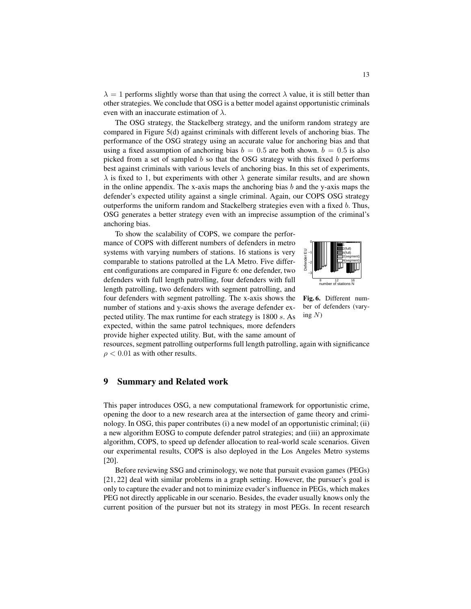$\lambda = 1$  performs slightly worse than that using the correct  $\lambda$  value, it is still better than other strategies. We conclude that OSG is a better model against opportunistic criminals even with an inaccurate estimation of  $\lambda$ .

The OSG strategy, the Stackelberg strategy, and the uniform random strategy are compared in Figure 5(d) against criminals with different levels of anchoring bias. The performance of the OSG strategy using an accurate value for anchoring bias and that using a fixed assumption of anchoring bias  $b = 0.5$  are both shown.  $b = 0.5$  is also picked from a set of sampled  $b$  so that the OSG strategy with this fixed  $b$  performs best against criminals with various levels of anchoring bias. In this set of experiments,  $\lambda$  is fixed to 1, but experiments with other  $\lambda$  generate similar results, and are shown in the online appendix. The x-axis maps the anchoring bias  $b$  and the y-axis maps the defender's expected utility against a single criminal. Again, our COPS OSG strategy outperforms the uniform random and Stackelberg strategies even with a fixed b. Thus, OSG generates a better strategy even with an imprecise assumption of the criminal's anchoring bias.

To show the scalability of COPS, we compare the performance of COPS with different numbers of defenders in metro systems with varying numbers of stations. 16 stations is very comparable to stations patrolled at the LA Metro. Five different configurations are compared in Figure 6: one defender, two defenders with full length patrolling, four defenders with full length patrolling, two defenders with segment patrolling, and four defenders with segment patrolling. The x-axis shows the number of stations and y-axis shows the average defender expected utility. The max runtime for each strategy is 1800 s. As expected, within the same patrol techniques, more defenders provide higher expected utility. But, with the same amount of



Fig. 6. Different number of defenders (varying  $N$ )

resources, segment patrolling outperforms full length patrolling, again with significance  $\rho$  < 0.01 as with other results.

#### 9 Summary and Related work

This paper introduces OSG, a new computational framework for opportunistic crime, opening the door to a new research area at the intersection of game theory and criminology. In OSG, this paper contributes (i) a new model of an opportunistic criminal; (ii) a new algorithm EOSG to compute defender patrol strategies; and (iii) an approximate algorithm, COPS, to speed up defender allocation to real-world scale scenarios. Given our experimental results, COPS is also deployed in the Los Angeles Metro systems [20].

Before reviewing SSG and criminology, we note that pursuit evasion games (PEGs) [21, 22] deal with similar problems in a graph setting. However, the pursuer's goal is only to capture the evader and not to minimize evader's influence in PEGs, which makes PEG not directly applicable in our scenario. Besides, the evader usually knows only the current position of the pursuer but not its strategy in most PEGs. In recent research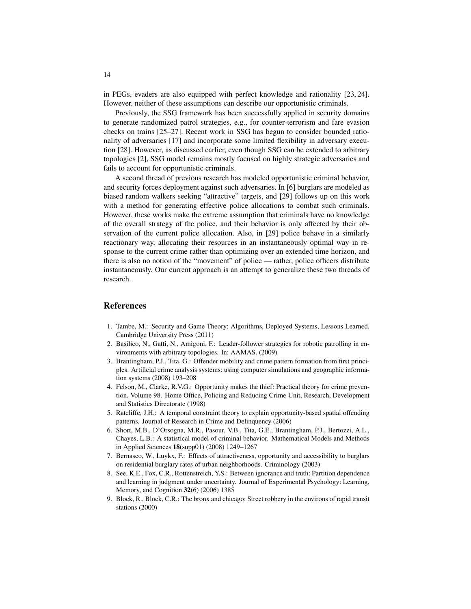in PEGs, evaders are also equipped with perfect knowledge and rationality [23, 24]. However, neither of these assumptions can describe our opportunistic criminals.

Previously, the SSG framework has been successfully applied in security domains to generate randomized patrol strategies, e.g., for counter-terrorism and fare evasion checks on trains [25–27]. Recent work in SSG has begun to consider bounded rationality of adversaries [17] and incorporate some limited flexibility in adversary execution [28]. However, as discussed earlier, even though SSG can be extended to arbitrary topologies [2], SSG model remains mostly focused on highly strategic adversaries and fails to account for opportunistic criminals.

A second thread of previous research has modeled opportunistic criminal behavior, and security forces deployment against such adversaries. In [6] burglars are modeled as biased random walkers seeking "attractive" targets, and [29] follows up on this work with a method for generating effective police allocations to combat such criminals. However, these works make the extreme assumption that criminals have no knowledge of the overall strategy of the police, and their behavior is only affected by their observation of the current police allocation. Also, in [29] police behave in a similarly reactionary way, allocating their resources in an instantaneously optimal way in response to the current crime rather than optimizing over an extended time horizon, and there is also no notion of the "movement" of police — rather, police officers distribute instantaneously. Our current approach is an attempt to generalize these two threads of research.

#### References

- 1. Tambe, M.: Security and Game Theory: Algorithms, Deployed Systems, Lessons Learned. Cambridge University Press (2011)
- 2. Basilico, N., Gatti, N., Amigoni, F.: Leader-follower strategies for robotic patrolling in environments with arbitrary topologies. In: AAMAS. (2009)
- 3. Brantingham, P.J., Tita, G.: Offender mobility and crime pattern formation from first principles. Artificial crime analysis systems: using computer simulations and geographic information systems (2008) 193–208
- 4. Felson, M., Clarke, R.V.G.: Opportunity makes the thief: Practical theory for crime prevention. Volume 98. Home Office, Policing and Reducing Crime Unit, Research, Development and Statistics Directorate (1998)
- 5. Ratcliffe, J.H.: A temporal constraint theory to explain opportunity-based spatial offending patterns. Journal of Research in Crime and Delinquency (2006)
- 6. Short, M.B., D'Orsogna, M.R., Pasour, V.B., Tita, G.E., Brantingham, P.J., Bertozzi, A.L., Chayes, L.B.: A statistical model of criminal behavior. Mathematical Models and Methods in Applied Sciences 18(supp01) (2008) 1249–1267
- 7. Bernasco, W., Luykx, F.: Effects of attractiveness, opportunity and accessibility to burglars on residential burglary rates of urban neighborhoods. Criminology (2003)
- 8. See, K.E., Fox, C.R., Rottenstreich, Y.S.: Between ignorance and truth: Partition dependence and learning in judgment under uncertainty. Journal of Experimental Psychology: Learning, Memory, and Cognition 32(6) (2006) 1385
- 9. Block, R., Block, C.R.: The bronx and chicago: Street robbery in the environs of rapid transit stations (2000)